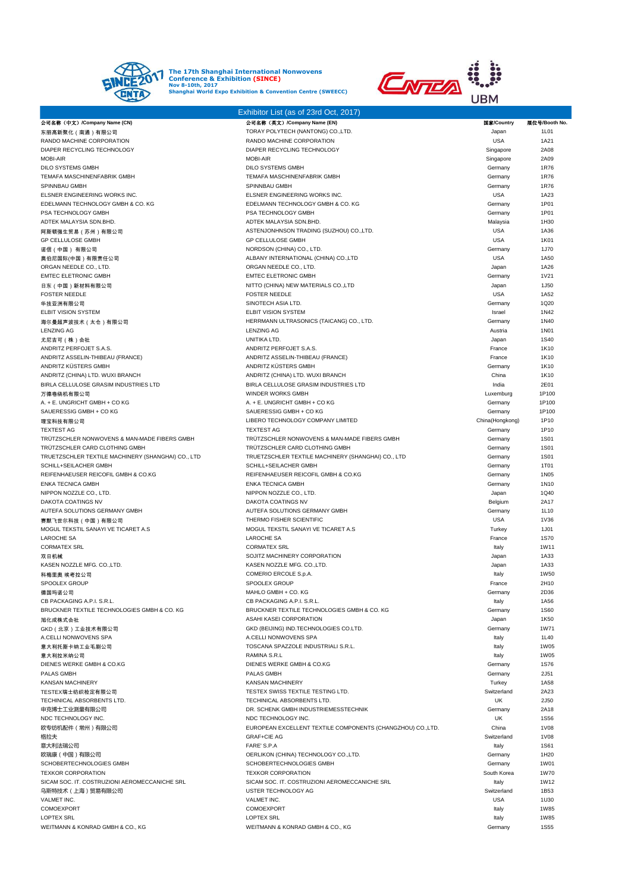



|                                                                    | Exhibitor List (as of 23rd Oct, 2017)                              |                       |                     |
|--------------------------------------------------------------------|--------------------------------------------------------------------|-----------------------|---------------------|
| 公司名称 (中文) /Company Name (CN)                                       | 公司名称(英文) /Company Name (EN)                                        | 国家/Country            | 展位号/Booth No.       |
| 东丽高新聚化(南通)有限公司                                                     | TORAY POLYTECH (NANTONG) CO., LTD.                                 | Japan                 | 1L01                |
| RANDO MACHINE CORPORATION                                          | RANDO MACHINE CORPORATION                                          | <b>USA</b>            | 1A21                |
| DIAPER RECYCLING TECHNOLOGY                                        | DIAPER RECYCLING TECHNOLOGY                                        | Singapore             | 2A08                |
| <b>MOBI-AIR</b>                                                    | <b>MOBI-AIR</b>                                                    | Singapore             | 2A09                |
| <b>DILO SYSTEMS GMBH</b>                                           | <b>DILO SYSTEMS GMBH</b>                                           | Germany               | 1R76                |
| <b>TEMAFA MASCHINENFABRIK GMBH</b>                                 | TEMAFA MASCHINENFABRIK GMBH                                        | Germany               | 1R76                |
| SPINNBAU GMBH                                                      | SPINNBAU GMBH                                                      | Germany               | 1R76                |
| ELSNER ENGINEERING WORKS INC.<br>EDELMANN TECHNOLOGY GMBH & CO. KG | ELSNER ENGINEERING WORKS INC.<br>EDELMANN TECHNOLOGY GMBH & CO. KG | <b>USA</b><br>Germany | 1A23<br>1P01        |
| PSA TECHNOLOGY GMBH                                                | PSA TECHNOLOGY GMBH                                                | Germany               | 1P01                |
| ADTEK MALAYSIA SDN.BHD.                                            | ADTEK MALAYSIA SDN.BHD.                                            | Malaysia              | 1H30                |
| 阿斯顿强生贸易(苏州)有限公司                                                    | ASTENJONHNSON TRADING (SUZHOU) CO., LTD.                           | <b>USA</b>            | 1A36                |
| <b>GP CELLULOSE GMBH</b>                                           | GP CELLULOSE GMBH                                                  | <b>USA</b>            | 1K01                |
| 诺信(中国) 有限公司                                                        | NORDSON (CHINA) CO., LTD.                                          | Germany               | 1J70                |
| 奥伯尼国际(中国)有限责任公司                                                    | ALBANY INTERNATIONAL (CHINA) CO.,LTD                               | <b>USA</b>            | 1A50                |
| ORGAN NEEDLE CO., LTD.                                             | ORGAN NEEDLE CO., LTD.                                             | Japan                 | 1A26                |
| <b>EMTEC ELETRONIC GMBH</b>                                        | <b>EMTEC ELETRONIC GMBH</b>                                        | Germany               | 1V21                |
| 日东(中国)新材料有限公司                                                      | NITTO (CHINA) NEW MATERIALS CO., LTD                               | Japan                 | 1J50                |
| <b>FOSTER NEEDLE</b>                                               | <b>FOSTER NEEDLE</b>                                               | <b>USA</b>            | 1A52                |
| 华技亚洲有限公司                                                           | SINOTECH ASIA LTD.                                                 | Germany               | 1Q20                |
| <b>ELBIT VISION SYSTEM</b>                                         | ELBIT VISION SYSTEM                                                | Israel                | 1N42                |
| 海尔曼超声波技术 (太仓)有限公司                                                  | HERRMANN ULTRASONICS (TAICANG) CO., LTD.                           | Germany               | 1N40                |
| <b>LENZING AG</b>                                                  | <b>LENZING AG</b>                                                  | Austria               | <b>1N01</b>         |
| 尤尼吉可(株)会社                                                          | UNITIKA LTD.                                                       | Japan                 | <b>1S40</b>         |
| ANDRITZ PERFOJET S.A.S.                                            | ANDRITZ PERFOJET S.A.S.                                            | France                | 1K10                |
| ANDRITZ ASSELIN-THIBEAU (FRANCE)<br>ANDRITZ KÜSTERS GMBH           | ANDRITZ ASSELIN-THIBEAU (FRANCE)                                   | France                | 1K10                |
| ANDRITZ (CHINA) LTD. WUXI BRANCH                                   | ANDRITZ KÜSTERS GMBH<br>ANDRITZ (CHINA) LTD. WUXI BRANCH           | Germany<br>China      | 1K10<br>1K10        |
| BIRLA CELLULOSE GRASIM INDUSTRIES LTD                              | BIRLA CELLULOSE GRASIM INDUSTRIES LTD                              | India                 | 2E01                |
| 万德卷绕机有限公司                                                          | WINDER WORKS GMBH                                                  | Luxemburg             | 1P100               |
| A. + E. UNGRICHT GMBH + CO KG                                      | A. + E. UNGRICHT GMBH + CO KG                                      | Germany               | 1P100               |
| SAUERESSIG GMBH + CO KG                                            | SAUERESSIG GMBH + CO KG                                            | Germany               | 1P100               |
| 理宝科技有限公司                                                           | LIBERO TECHNOLOGY COMPANY LIMITED                                  | China(Hongkong)       | 1P10                |
| <b>TEXTEST AG</b>                                                  | <b>TEXTEST AG</b>                                                  | Germany               | 1P10                |
| TRUTZSCHLER NONWOVENS & MAN-MADE FIBERS GMBH                       | TRUTZSCHLER NONWOVENS & MAN-MADE FIBERS GMBH                       | Germany               | 1S01                |
| TRÜTZSCHLER CARD CLOTHING GMBH                                     | TRÜTZSCHLER CARD CLOTHING GMBH                                     | Germany               | <b>1S01</b>         |
| TRUETZSCHLER TEXTILE MACHINERY (SHANGHAI) CO., LTD                 | TRUETZSCHLER TEXTILE MACHINERY (SHANGHAI) CO., LTD                 | Germany               | <b>1S01</b>         |
| SCHILL+SEILACHER GMBH                                              | SCHILL+SEILACHER GMBH                                              | Germany               | 1T01                |
| REIFENHAEUSER REICOFIL GMBH & CO.KG                                | REIFENHAEUSER REICOFIL GMBH & CO.KG                                | Germany               | 1N05                |
| <b>ENKA TECNICA GMBH</b>                                           | <b>ENKA TECNICA GMBH</b>                                           | Germany               | 1N10                |
| NIPPON NOZZLE CO., LTD.                                            | NIPPON NOZZLE CO., LTD.                                            | Japan                 | 1Q40                |
| DAKOTA COATINGS NV                                                 | DAKOTA COATINGS NV                                                 | Belgium               | 2A17                |
| AUTEFA SOLUTIONS GERMANY GMBH                                      | AUTEFA SOLUTIONS GERMANY GMBH                                      | Germany               | 1L10                |
| 赛默飞世尔科技(中国)有限公司<br>MOGUL TEKSTIL SANAYI VE TICARET A.S             | THERMO FISHER SCIENTIFIC                                           | <b>USA</b>            | 1V36                |
| <b>LAROCHE SA</b>                                                  | MOGUL TEKSTIL SANAYI VE TICARET A.S<br><b>LAROCHE SA</b>           | Turkey<br>France      | 1J01<br><b>1S70</b> |
| <b>CORMATEX SRL</b>                                                | <b>CORMATEX SRL</b>                                                | Italy                 | 1W11                |
| 双日机械                                                               | SOJITZ MACHINERY CORPORATION                                       | Japan                 | 1A33                |
| KASEN NOZZLE MFG. CO.,LTD.                                         | KASEN NOZZLE MFG. CO.,LTD.                                         | Japan                 | 1A33                |
| 科梅里奥 埃考拉公司                                                         | COMERIO ERCOLE S.p.A.                                              | Italy                 | 1W50                |
| SPOOLEX GROUP                                                      | SPOOLEX GROUP                                                      | France                | 2H10                |
| 德国玛诺公司                                                             | MAHLO GMBH + CO. KG                                                | Germany               | 2D36                |
| CB PACKAGING A.P.I. S.R.L.                                         | CB PACKAGING A.P.I. S.R.L.                                         | Italy                 | 1A56                |
| BRUCKNER TEXTILE TECHNOLOGIES GMBH & CO. KG                        | BRUCKNER TEXTILE TECHNOLOGIES GMBH & CO. KG                        | Germany               | <b>1S60</b>         |
| 旭化成株式会社                                                            | ASAHI KASEI CORPORATION                                            | Japan                 | 1K50                |
| GKD (北京) 工业技术有限公司                                                  | GKD (BEIJING) IND.TECHNOLOGIES CO.LTD.                             | Germany               | 1W71                |
| A.CELLI NONWOVENS SPA                                              | A.CELLI NONWOVENS SPA                                              | Italy                 | 1L40                |
| 意大利托斯卡纳工业毛刷公司                                                      | TOSCANA SPAZZOLE INDUSTRIALI S.R.L.                                | Italy                 | <b>1W05</b>         |
| 意大利拉米纳公司                                                           | RAMINA S.R.L                                                       | Italy                 | 1W05                |
| DIENES WERKE GMBH & CO.KG<br>PALAS GMBH                            | DIENES WERKE GMBH & CO.KG<br>PALAS GMBH                            | Germany<br>Germany    | <b>1S76</b><br>2J51 |
| <b>KANSAN MACHINERY</b>                                            | <b>KANSAN MACHINERY</b>                                            | Turkey                | 1A58                |
| TESTEX瑞士纺织检定有限公司                                                   | TESTEX SWISS TEXTILE TESTING LTD.                                  | Switzerland           | 2A23                |
| TECHINICAL ABSORBENTS LTD.                                         | TECHINICAL ABSORBENTS LTD.                                         | UK                    | 2J50                |
| 申克博士工业测量有限公司                                                       | DR. SCHENK GMBH INDUSTRIEMESSTECHNIK                               | Germany               | 2A18                |
| NDC TECHNOLOGY INC.                                                | NDC TECHNOLOGY INC.                                                | UK                    | <b>1S56</b>         |
| 欧专纺机配件(常州)有限公司                                                     | EUROPEAN EXCELLENT TEXTILE COMPONENTS (CHANGZHOU) CO., LTD.        | China                 | <b>1V08</b>         |
| 格拉夫                                                                | <b>GRAF+CIE AG</b>                                                 | Switzerland           | <b>1V08</b>         |
| 意大利法瑞公司                                                            | FARE' S.P.A                                                        | Italy                 | <b>1S61</b>         |
| 欧瑞康(中国)有限公司                                                        | OERLIKON (CHINA) TECHNOLOGY CO.,LTD.                               | Germany               | 1H20                |
| SCHOBERTECHNOLOGIES GMBH                                           | SCHOBERTECHNOLOGIES GMBH                                           | Germany               | 1W01                |
| <b>TEXKOR CORPORATION</b>                                          | <b>TEXKOR CORPORATION</b>                                          | South Korea           | 1W70                |
| SICAM SOC. IT. COSTRUZIONI AEROMECCANICHE SRL                      | SICAM SOC. IT. COSTRUZIONI AEROMECCANICHE SRL                      | Italy                 | 1W12                |
| 乌斯特技术(上海)贸易有限公司                                                    | USTER TECHNOLOGY AG                                                | Switzerland           | 1B53                |
| VALMET INC.                                                        | VALMET INC.                                                        | <b>USA</b>            | 1U30                |
| COMOEXPORT<br><b>LOPTEX SRL</b>                                    | COMOEXPORT<br><b>LOPTEX SRL</b>                                    | Italy                 | 1W85<br><b>1W85</b> |
| WEITMANN & KONRAD GMBH & CO., KG                                   | WEITMANN & KONRAD GMBH & CO., KG                                   | Italy<br>Germany      | <b>1S55</b>         |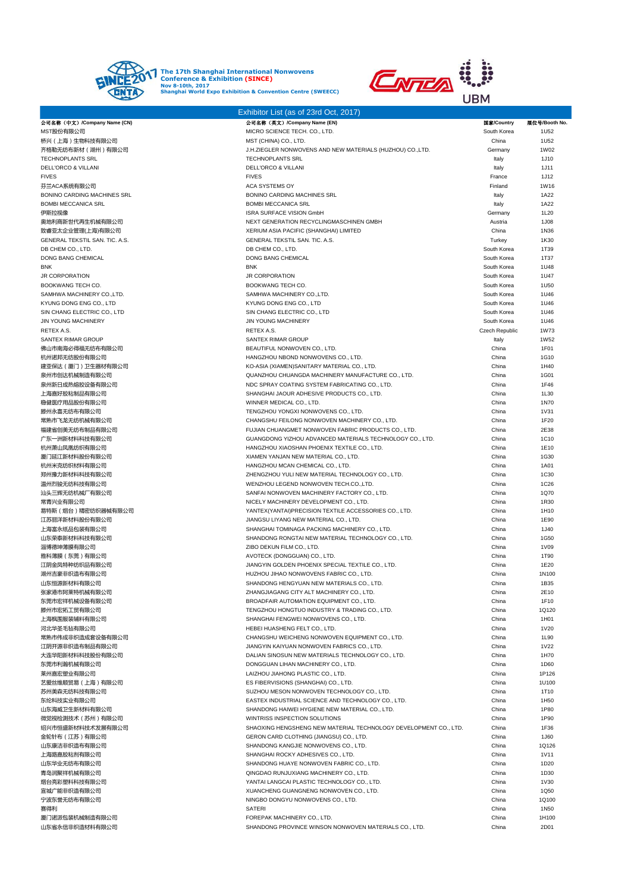



|                                             | Exhibitor List (as of 23rd Oct, 2017)                                                        |                            |               |
|---------------------------------------------|----------------------------------------------------------------------------------------------|----------------------------|---------------|
| 公司名称(中文)/Company Name (CN)                  | 公司名称(英文)/Company Name (EN)                                                                   | 国家/Country                 | 展位号/Booth No. |
| MST股份有限公司                                   | MICRO SCIENCE TECH. CO., LTD.                                                                | South Korea                | 1U52          |
| 桥兴(上海)生物科技有限公司                              | MST (CHINA) CO., LTD.                                                                        | China                      | 1U52          |
| 齐格勒无纺布新材(湖州)有限公司<br><b>TECHNOPLANTS SRL</b> | J.H.ZIEGLER NONWOVENS AND NEW MATERIALS (HUZHOU) CO.,LTD.<br><b>TECHNOPLANTS SRL</b>         | Germany<br>Italy           | 1W02<br>1J10  |
| <b>DELL'ORCO &amp; VILLANI</b>              | <b>DELL'ORCO &amp; VILLANI</b>                                                               | Italy                      | 1J11          |
| <b>FIVES</b>                                | <b>FIVES</b>                                                                                 | France                     | 1J12          |
| 芬兰ACA系统有限公司                                 | ACA SYSTEMS OY                                                                               | Finland                    | 1W16          |
| BONINO CARDING MACHINES SRL                 | BONINO CARDING MACHINES SRL                                                                  | Italy                      | 1A22          |
| <b>BOMBI MECCANICA SRL</b>                  | <b>BOMBI MECCANICA SRL</b>                                                                   | Italy                      | 1A22          |
| 伊斯拉视像                                       | ISRA SURFACE VISION GmbH                                                                     | Germany                    | 1L20          |
| 奥地利商新世代再生机械有限公司                             | NEXT GENERATION RECYCLINGMASCHINEN GMBH                                                      | Austria                    | 1J08          |
| 致睿亚太企业管理(上海)有限公司                            | XERIUM ASIA PACIFIC (SHANGHAI) LIMITED                                                       | China                      | 1N36          |
| GENERAL TEKSTIL SAN. TIC. A.S.              | GENERAL TEKSTIL SAN. TIC. A.S.                                                               | Turkey                     | 1K30          |
| DB CHEM CO., LTD.<br>DONG BANG CHEMICAL     | DB CHEM CO., LTD.<br><b>DONG BANG CHEMICAL</b>                                               | South Korea<br>South Korea | 1T39<br>1T37  |
| BNK                                         | <b>BNK</b>                                                                                   | South Korea                | 1U48          |
| <b>JR CORPORATION</b>                       | <b>JR CORPORATION</b>                                                                        | South Korea                | 1U47          |
| BOOKWANG TECH CO.                           | BOOKWANG TECH CO.                                                                            | South Korea                | 1U50          |
| SAMHWA MACHINERY CO.,LTD.                   | SAMHWA MACHINERY CO., LTD.                                                                   | South Korea                | 1U46          |
| KYUNG DONG ENG CO., LTD                     | KYUNG DONG ENG CO., LTD                                                                      | South Korea                | 1U46          |
| SIN CHANG ELECTRIC CO., LTD                 | SIN CHANG ELECTRIC CO., LTD                                                                  | South Korea                | 1U46          |
| <b>JIN YOUNG MACHINERY</b>                  | <b>JIN YOUNG MACHINERY</b>                                                                   | South Korea                | 1U46          |
| RETEX A.S.                                  | RETEX A.S.                                                                                   | Czech Republic             | 1W73          |
| SANTEX RIMAR GROUP                          | <b>SANTEX RIMAR GROUP</b>                                                                    | Italy                      | 1W52          |
| 佛山市南海必得福无纺布有限公司                             | BEAUTIFUL NONWOVEN CO., LTD.                                                                 | China                      | 1F01          |
| 杭州诺邦无纺股份有限公司<br>建亚保达(厦门)卫生器材有限公司            | HANGZHOU NBOND NONWOVENS CO., LTD.<br>KO-ASIA (XIAMEN)SANITARY MATERIAL CO., LTD.            | China<br>China             | 1G10<br>1H40  |
| 泉州市创达机械制造有限公司                               | QUANZHOU CHUANGDA MACHINERY MANUFACTURE CO., LTD.                                            | China                      | 1G01          |
| 泉州新日成热熔胶设备有限公司                              | NDC SPRAY COATING SYSTEM FABRICATING CO., LTD.                                               | China                      | 1F46          |
| 上海嘉好胶粘制品有限公司                                | SHANGHAI JAOUR ADHESIVE PRODUCTS CO., LTD.                                                   | China                      | 1L30          |
| 稳健医疗用品股份有限公司                                | WINNER MEDICAL CO., LTD.                                                                     | China                      | 1N70          |
| 滕州永喜无纺布有限公司                                 | TENGZHOU YONGXI NONWOVENS CO., LTD.                                                          | China                      | 1V31          |
| 常熟市飞龙无纺机械有限公司                               | CHANGSHU FEILONG NONWOVEN MACHINERY CO., LTD.                                                | China                      | 1F20          |
| 福建省创美无纺布制品有限公司                              | FUJIAN CHUANGMET NONWOVEN FABRIC PRODUCTS CO., LTD.                                          | China                      | 2E38          |
| 广东一洲新材料科技有限公司                               | GUANGDONG YIZHOU ADVANCED MATERIALS TECHNOLOGY CO., LTD.                                     | China                      | 1C10          |
| 杭州萧山凤凰纺织有限公司                                | HANGZHOU XIAOSHAN PHOENIX TEXTILE CO., LTD.                                                  | China                      | 1E10          |
| 厦门延江新材料股份有限公司                               | XIAMEN YANJAN NEW MATERIAL CO., LTD.                                                         | China                      | 1G30          |
| 杭州米克纺织材料有限公司<br>郑州豫力新材料科技有限公司               | HANGZHOU MCAN CHEMICAL CO., LTD.<br>ZHENGZHOU YULI NEW MATERIAL TECHNOLOGY CO., LTD.         | China<br>China             | 1A01<br>1C30  |
| 温州烈骏无纺科技有限公司                                | WENZHOU LEGEND NONWOVEN TECH.CO.,LTD                                                         | China                      | 1C26          |
| 汕头三辉无纺机械厂有限公司                               | SANFAI NONWOVEN MACHINERY FACTORY CO., LTD.                                                  | China                      | 1Q70          |
| 常青兴业有限公司                                    | NICELY MACHINERY DEVELOPMENT CO., LTD.                                                       | China                      | 1R30          |
| 易特斯 ( 烟台 ) 精密纺织器械有限公司                       | YANTEX(YANTAI)PRECISION TEXTILE ACCESSORIES CO., LTD.                                        | China                      | 1H10          |
| 江苏丽洋新材料股份有限公司                               | JIANGSU LIYANG NEW MATERIAL CO., LTD.                                                        | China                      | 1E90          |
| 上海富永纸品包装有限公司                                | SHANGHAI TOMINAGA PACKING MACHINERY CO., LTD.                                                | China                      | 1J40          |
| 山东荣泰新材料科技有限公司                               | SHANDONG RONGTAI NEW MATERIAL TECHNOLOGY CO., LTD.                                           | China                      | 1G50          |
| 淄博德坤薄膜有限公司                                  | ZIBO DEKUN FILM CO., LTD.                                                                    | China                      | 1V09          |
| 雅科薄膜(东莞)有限公司                                | AVOTECK (DONGGUAN) CO., LTD.                                                                 | China                      | 1T90          |
| 江阴金凤特种纺织品有限公司<br>湖州吉豪非织造布有限公司               | JIANGYIN GOLDEN PHOENIX SPECIAL TEXTILE CO., LTD.<br>HUZHOU JIHAO NONWOVENS FABRIC CO., LTD. | China<br>China             | 1E20<br>1N100 |
| 山东恒源新材料有限公司                                 | SHANDONG HENGYUAN NEW MATERIALS CO., LTD.                                                    | China                      | 1B35          |
| 张家港市阿莱特机械有限公司                               | ZHANGJIAGANG CITY ALT MACHINERY CO., LTD.                                                    | China                      | 2E10          |
| 东莞市宏祥机械设备有限公司                               | BROADFAIR AUTOMATION EQUIPMENT CO., LTD.                                                     | China                      | 1F10          |
| 滕州市宏拓工贸有限公司                                 | TENGZHOU HONGTUO INDUSTRY & TRADING CO., LTD.                                                | China                      | 1Q120         |
| 上海枫围服装辅料有限公司                                | SHANGHAI FENGWEI NONWOVENS CO., LTD.                                                         | China                      | 1H01          |
| 河北华圣毛毡有限公司                                  | HEBEI HUASHENG FELT CO., LTD.                                                                | China                      | 1V20          |
| 常熟市伟成非织造成套设备有限公司                            | CHANGSHU WEICHENG NONWOVEN EQUIPMENT CO., LTD.                                               | China                      | 1L90          |
| 江阴开源非织造布制品有限公司                              | JIANGYIN KAIYUAN NONWOVEN FABRICS CO., LTD.                                                  | China                      | 1V22          |
| 大连华阳新材料科技股份有限公司                             | DALIAN SINOSUN NEW MATERIALS TECHNOLOGY CO., LTD.                                            | China                      | 1H70          |
| 东莞市利瀚机械有限公司                                 | DONGGUAN LIHAN MACHINERY CO., LTD.                                                           | China<br>China             | 1D60<br>1P126 |
| 莱州嘉宏塑业有限公司<br>艺爱丝维顺贸易(上海)有限公司               | LAIZHOU JIAHONG PLASTIC CO., LTD.<br>ES FIBERVISIONS (SHANGHAI) CO., LTD.                    | China                      | 1U100         |
| 苏州美森无纺科技有限公司                                | SUZHOU MESON NONWOVEN TECHNOLOGY CO., LTD.                                                   | China                      | 1T10          |
| 东纶科技实业有限公司                                  | EASTEX INDUSTRIAL SCIENCE AND TECHNOLOGY CO., LTD.                                           | China                      | 1H50          |
| 山东海威卫生新材料有限公司                               | SHANDONG HAIWEI HYGIENE NEW MATERIAL CO., LTD.                                               | China                      | 1P80          |
| 微觉视检测技术(苏州)有限公司                             | WINTRISS INSPECTION SOLUTIONS                                                                | China                      | 1P90          |
| 绍兴市恒盛新材料技术发展有限公司                            | SHAOXING HENGSHENG NEW MATERIAL TECHNOLOGY DEVELOPMENT CO., LTD.                             | China                      | 1F36          |
| 金轮针布(江苏)有限公司                                | GERON CARD CLOTHING (JIANGSU) CO., LTD.                                                      | China                      | 1J60          |
| 山东康洁非织造布有限公司                                | SHANDONG KANGJIE NONWOVENS CO., LTD.                                                         | China                      | 1Q126         |
| 上海路嘉胶粘剂有限公司                                 | SHANGHAI ROCKY ADHESIVES CO., LTD.                                                           | China                      | <b>1V11</b>   |
| 山东华业无纺布有限公司                                 | SHANDONG HUAYE NONWOVEN FABRIC CO., LTD.                                                     | China                      | 1D20          |
| 青岛润聚祥机械有限公司                                 | QINGDAO RUNJUXIANG MACHINERY CO., LTD.                                                       | China                      | 1D30          |
| 烟台亮彩塑料科技有限公司                                | YANTAI LANGCAI PLASTIC TECHNOLOGY CO., LTD.                                                  | China                      | 1V30          |
| 宣城广能非织造有限公司<br>宁波东誉无纺布有限公司                  | XUANCHENG GUANGNENG NONWOVEN CO., LTD.<br>NINGBO DONGYU NONWOVENS CO., LTD.                  | China<br>China             | 1Q50<br>1Q100 |
| 赛得利                                         | <b>SATERI</b>                                                                                | China                      | 1N50          |
| 厦门诺派包装机械制造有限公司                              | FOREPAK MACHINERY CO., LTD.                                                                  | China                      | 1H100         |
| 山东省永信非织造材料有限公司                              | SHANDONG PROVINCE WINSON NONWOVEN MATERIALS CO., LTD.                                        | China                      | 2D01          |
|                                             |                                                                                              |                            |               |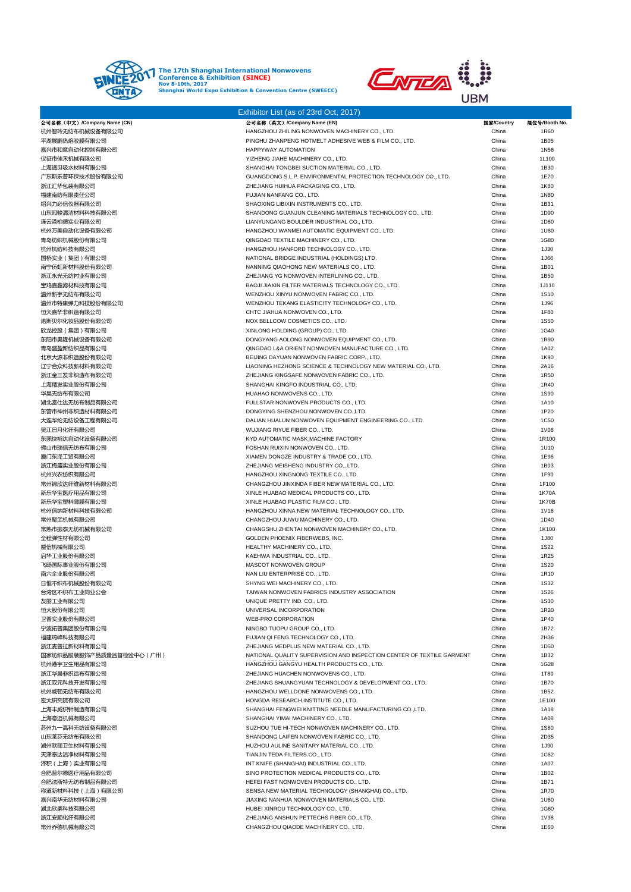



|                                 | Exhibitor List (as of 23rd Oct, 2017)                                                                  |                |                      |
|---------------------------------|--------------------------------------------------------------------------------------------------------|----------------|----------------------|
| 公司名称(中文)/Company Name (CN)      | 公司名称 (英文) /Company Name (EN)                                                                           | 国家/Country     | 展位号/Booth No.        |
| 杭州智玲无纺布机械设备有限公司<br>平湖展鹏热熔胶膜有限公司 | HANGZHOU ZHILING NONWOVEN MACHINERY CO., LTD.<br>PINGHU ZHANPENG HOTMELT ADHESIVE WEB & FILM CO., LTD. | China<br>China | 1R60<br>1B05         |
| 嘉兴市和意自动化控制有限公司                  | HAPPYWAY AUTOMATION                                                                                    | China          | 1N56                 |
| 仪征市佳禾机械有限公司                     | YIZHENG JIAHE MACHINERY CO., LTD.                                                                      | China          | 1L100                |
| 上海通贝吸水材料有限公司                    | SHANGHAI TONGBEI SUCTION MATERIAL CO., LTD.                                                            | China          | 1B30                 |
| 广东斯乐普环保技术股份有限公司                 | GUANGDONG S.L.P. ENVIRONMENTAL PROTECTION TECHNOLOGY CO., LTD.                                         | China          | 1E70                 |
| 浙江汇华包装有限公司                      | ZHEJIANG HUIHUA PACKAGING CO., LTD.                                                                    | China          | 1K80                 |
| 福建南纺有限责任公司<br>绍兴力必信仪器有限公司       | FUJIAN NANFANG CO., LTD.<br>SHAOXING LIBIXIN INSTRUMENTS CO., LTD.                                     | China<br>China | 1N80<br>1B31         |
| 山东冠骏清洁材料科技有限公司                  | SHANDONG GUANJUN CLEANING MATERIALS TECHNOLOGY CO., LTD.                                               | China          | 1D90                 |
| 连云港柏德实业有限公司                     | LIANYUNGANG BOULDER INDUSTRIAL CO., LTD.                                                               | China          | 1D80                 |
| 杭州万美自动化设备有限公司                   | HANGZHOU WANMEI AUTOMATIC EQUIPMENT CO., LTD.                                                          | China          | 1U80                 |
| 青岛纺织机械股份有限公司                    | QINGDAO TEXTILE MACHINERY CO., LTD.                                                                    | China          | 1G80                 |
| 杭州杭纺科技有限公司                      | HANGZHOU HANFORD TECHNOLOGY CO., LTD.                                                                  | China          | 1J30                 |
| 国桥实业(集团)有限公司<br>南宁侨虹新材料股份有限公司   | NATIONAL BRIDGE INDUSTRIAL (HOLDINGS) LTD.<br>NANNING QIAOHONG NEW MATERIALS CO., LTD.                 | China<br>China | 1J66<br>1B01         |
| 浙江永光无纺衬业有限公司                    | ZHEJIANG YG NONWOVEN INTERLINING CO., LTD.                                                             | China          | 1B50                 |
| 宝鸡嘉鑫滤材科技有限公司                    | BAOJI JIAXIN FILTER MATERIALS TECHNOLOGY CO., LTD.                                                     | China          | 1J110                |
| 温州新宇无纺布有限公司                     | WENZHOU XINYU NONWOVEN FABRIC CO., LTD.                                                                | China          | 1S10                 |
| 温州市特康弹力科技股份有限公司                 | WENZHOU TEKANG ELASTICITY TECHNOLOGY CO., LTD.                                                         | China          | 1J96                 |
| 恒天嘉华非织造有限公司<br>诺斯贝尔化妆品股份有限公司    | CHTC JIAHUA NONWOVEN CO., LTD.                                                                         | China<br>China | 1F80<br>1S50         |
| 欣龙控股(集团)有限公司                    | NOX BELLCOW COSMETICS CO., LTD.<br>XINLONG HOLDING (GROUP) CO., LTD.                                   | China          | 1G40                 |
| 东阳市奥隆机械设备有限公司                   | DONGYANG AOLONG NONWOVEN EQUIPMENT CO., LTD.                                                           | China          | 1R90                 |
| 青岛盛盈新纺织品有限公司                    | QINGDAO L&A ORIENT NONWOVEN MANUFACTURE CO., LTD.                                                      | China          | 1A02                 |
| 北京大源非织造股份有限公司                   | BEIJING DAYUAN NONWOVEN FABRIC CORP., LTD.                                                             | China          | 1K90                 |
| 辽宁合众科技新材料有限公司                   | LIAONING HEZHONG SCIENCE & TECHNOLOGY NEW MATERIAL CO., LTD.                                           | China          | 2A16                 |
| 浙江金三发非织造布有限公司<br>上海精发实业股份有限公司   | ZHEJIANG KINGSAFE NONWOVEN FABRIC CO., LTD.<br>SHANGHAI KINGFO INDUSTRIAL CO., LTD.                    | China<br>China | 1R50<br>1R40         |
| 华昊无纺布有限公司                       | HUAHAO NONWOVENS CO., LTD.                                                                             | China          | <b>1S90</b>          |
| 湖北富仕达无纺布制品有限公司                  | FULLSTAR NONWOVEN PRODUCTS CO., LTD.                                                                   | China          | 1A10                 |
| 东营市神州非织造材料有限公司                  | DONGYING SHENZHOU NONWOVEN CO.,LTD.                                                                    | China          | 1P20                 |
| 大连华纶无纺设备工程有限公司                  | DALIAN HUALUN NONWOVEN EQUIPMENT ENGINEERING CO., LTD.                                                 | China          | 1C50                 |
| 吴江日月化纤有限公司                      | WUJIANG RIYUE FIBER CO., LTD.                                                                          | China          | <b>1V06</b>          |
| 东莞快裕达自动化设备有限公司<br>佛山市瑞信无纺布有限公司  | KYD AUTOMATIC MASK MACHINE FACTORY<br>FOSHAN RUIXIN NONWOVEN CO., LTD.                                 | China<br>China | 1R100<br>1U10        |
| 厦门东泽工贸有限公司                      | XIAMEN DONGZE INDUSTRY & TRADE CO., LTD.                                                               | China          | 1E96                 |
| 浙江梅盛实业股份有限公司                    | ZHEJIANG MEISHENG INDUSTRY CO., LTD.                                                                   | China          | 1B03                 |
| 杭州兴农纺织有限公司                      | HANGZHOU XINGNONG TEXTILE CO., LTD.                                                                    | China          | 1F90                 |
| 常州锦欣达纤维新材料有限公司                  | CHANGZHOU JINXINDA FIBER NEW MATERIAL CO., LTD.                                                        | China          | 1F100                |
| 新乐华宝医疗用品有限公司                    | XINLE HUABAO MEDICAL PRODUCTS CO., LTD.                                                                | China          | 1K70A                |
| 新乐华宝塑料薄膜有限公司<br>杭州信纳新材料科技有限公司   | XINLE HUABAO PLASTIC FILM CO., LTD.<br>HANGZHOU XINNA NEW MATERIAL TECHNOLOGY CO., LTD.                | China<br>China | 1K70B<br><b>1V16</b> |
| 常州聚武机械有限公司                      | CHANGZHOU JUWU MACHINERY CO., LTD.                                                                     | China          | 1D40                 |
| 常熟市振泰无纺机械有限公司                   | CHANGSHU ZHENTAI NONWOVEN MACHINERY CO., LTD.                                                          | China          | 1K100                |
| 全程弹性材有限公司                       | GOLDEN PHOENIX FIBERWEBS, INC.                                                                         | China          | 1J80                 |
| 垕信机械有限公司                        | HEALTHY MACHINERY CO., LTD.                                                                            | China          | <b>1S22</b>          |
| 启华工业股份有限公司                      | KAEHWA INDUSTRIAL CO., LTD.                                                                            | China          | 1R25                 |
| 飞旸国际事业股份有限公司<br>南六企业股份有限公司      | MASCOT NONWOVEN GROUP<br>NAN LIU ENTERPRISE CO., LTD.                                                  | China<br>China | 1S20<br>1R10         |
| 日惟不织布机械股份有限公司                   | SHYNG WEI MACHINERY CO., LTD.                                                                          | China          | <b>1S32</b>          |
| 台湾区不织布工业同业公会                    | TAIWAN NONWOVEN FABRICS INDUSTRY ASSOCIATION                                                           | China          | <b>1S26</b>          |
| 友丽工业有限公司                        | UNIQUE PRETTY IND. CO., LTD.                                                                           | China          | 1S30                 |
| 恒大股份有限公司                        | UNIVERSAL INCORPORATION                                                                                | China          | 1R20                 |
| 卫普实业股份有限公司                      | <b>WEB-PRO CORPORATION</b>                                                                             | China          | 1P40                 |
| 宁波拓普集团股份有限公司<br>福建琦峰科技有限公司      | NINGBO TUOPU GROUP CO., LTD.<br>FUJIAN QI FENG TECHNOLOGY CO., LTD.                                    | China<br>China | 1B72<br>2H36         |
| 浙江麦普拉新材料有限公司                    | ZHEJIANG MEDPLUS NEW MATERIAL CO., LTD.                                                                | China          | 1D50                 |
| 国家纺织品服装服饰产品质量监督检验中心(广州)         | NATIONAL QUALITY SUPERVISION AND INSPECTION CENTER OF TEXTILE GARMENT                                  | China          | 1B32                 |
| 杭州港宇卫生用品有限公司                    | HANGZHOU GANGYU HEALTH PRODUCTS CO., LTD.                                                              | China          | 1G28                 |
| 浙江华晨非织造布有限公司                    | ZHEJIANG HUACHEN NONWOVENS CO., LTD.                                                                   | China          | 1T80                 |
| 浙江双元科技开发有限公司                    | ZHEJIANG SHUANGYUAN TECHNOLOGY & DEVELOPMENT CO., LTD.                                                 | China          | 1B70                 |
| 杭州威顿无纺布有限公司<br>宏大研究院有限公司        | HANGZHOU WELLDONE NONWOVENS CO., LTD.<br>HONGDA RESEARCH INSTITUTE CO., LTD.                           | China<br>China | 1B52<br>1E100        |
| 上海丰威织针制造有限公司                    | SHANGHAI FENGWEI KNITTING NEEDLE MANUFACTURING CO.,LTD.                                                | China          | <b>1A18</b>          |
| 上海意迈机械有限公司                      | SHANGHAI YIMAI MACHINERY CO., LTD.                                                                     | China          | <b>1A08</b>          |
| 苏州九一高科无纺设备有限公司                  | SUZHOU TUE HI-TECH NONWOVEN MACHINERY CO., LTD.                                                        | China          | <b>1S80</b>          |
| 山东莱芬无纺布有限公司                     | SHANDONG LAIFEN NONWOVEN FABRIC CO., LTD.                                                              | China          | 2D35                 |
| 湖州欧丽卫生材料有限公司                    | HUZHOU AULINE SANITARY MATERIAL CO., LTD.                                                              | China          | 1J90                 |
| 天津泰达洁净材料有限公司<br>泽积(上海)实业有限公司    | TIANJIN TEDA FILTERS.CO., LTD.<br>INT KNIFE (SHANGHAI) INDUSTRIAL CO., LTD.                            | China<br>China | 1C62<br>1A07         |
| 合肥普尔德医疗用品有限公司                   | SINO PROTECTION MEDICAL PRODUCTS CO., LTD.                                                             | China          | 1B02                 |
| 合肥法斯特无纺布制品有限公司                  | HEFEI FAST NONWOVEN PRODUCTS CO., LTD.                                                                 | China          | 1B71                 |
| 称道新材料科技(上海)有限公司                 | SENSA NEW MATERIAL TECHNOLOGY (SHANGHAI) CO., LTD.                                                     | China          | 1R70                 |
| 嘉兴南华无纺材料有限公司                    | JIAXING NANHUA NONWOVEN MATERIALS CO., LTD.                                                            | China          | 1U60                 |
| 湖北欣柔科技有限公司                      | HUBEI XINROU TECHNOLOGY CO., LTD.                                                                      | China          | 1G60                 |
| 浙江安顺化纤有限公司<br>常州乔德机械有限公司        | ZHEJIANG ANSHUN PETTECHS FIBER CO., LTD.<br>CHANGZHOU QIAODE MACHINERY CO., LTD.                       | China<br>China | <b>1V38</b><br>1E60  |
|                                 |                                                                                                        |                |                      |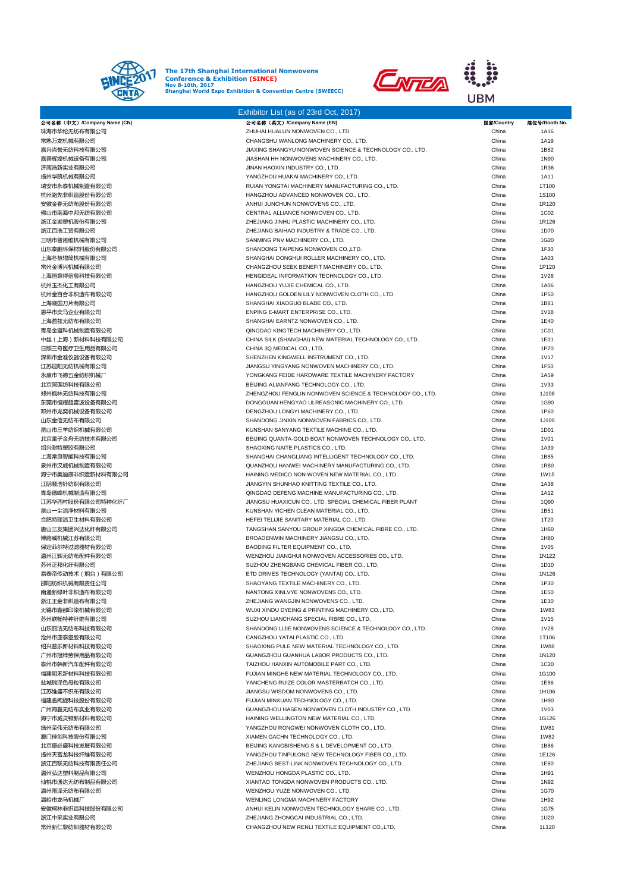

Exhibitor List (as of 23rd Oct, 2017)



| 公司名称(中文)/Company Name (CN) | 公司名称(英文) /Company Name (EN)                               | 国家/Country | 展位号/Booth No |
|----------------------------|-----------------------------------------------------------|------------|--------------|
| 珠海市华纶无纺布有限公司               | ZHUHAI HUALUN NONWOVEN CO., LTD.                          | China      | 1A16         |
| 常熟万龙机械有限公司                 | CHANGSHU WANLONG MACHINERY CO., LTD.                      | China      | 1A19         |
| 嘉兴尚誉无纺科技有限公司               | JIAXING SHANGYU NONWOVEN SCIENCE & TECHNOLOGY CO., LTD.   | China      | 1B82         |
| 嘉善辉煌机械设备有限公司               | JIASHAN HH NONWOVENS MACHINERY CO., LTD.                  | China      | 1N90         |
| 济南浩新实业有限公司                 | JINAN HAOXIN INDUSTRY CO., LTD.                           | China      | 1R36         |
| 扬州华凯机械有限公司                 | YANGZHOU HUAKAI MACHINERY CO., LTD.                       | China      | 1A11         |
|                            |                                                           |            |              |
| 瑞安市永泰机械制造有限公司              | RUIAN YONGTAI MACHINERY MANUFACTURING CO., LTD.           | China      | 1T100        |
| 杭州路先非织造股份有限公司              | HANGZHOU ADVANCED NONWOVEN CO., LTD.                      | China      | 1S100        |
| 安徽金春无纺布股份有限公司              | ANHUI JUNCHUN NONWOVENS CO., LTD.                         | China      | 1R120        |
| 佛山市南海中邦无纺有限公司              | CENTRAL ALLIANCE NONWOVEN CO., LTD.                       | China      | 1C02         |
| 浙江金湖塑机股份有限公司               | ZHEJIANG JINHU PLASTIC MACHINERY CO., LTD.                | China      | 1R126        |
| 浙江百浩工贸有限公司                 | ZHEJIANG BAIHAO INDUSTRY & TRADE CO., LTD.                | China      | 1D70         |
| 三明市普诺维机械有限公司               | SANMING PNV MACHINERY CO., LTD.                           | China      | 1G20         |
|                            |                                                           |            |              |
| 山东泰鹏环保材料股份有限公司             | SHANDONG TAIPENG NONWOVEN CO., LTD.                       | China      | 1F30         |
| 上海冬慧辊筒机械有限公司               | SHANGHAI DONGHUI ROLLER MACHINERY CO., LTD.               | China      | 1A03         |
| 常州金博兴机械有限公司                | CHANGZHOU SEEK BENEFIT MACHINERY CO., LTD.                | China      | 1P120        |
| 上海恒意得信息科技有限公司              | HENGIDEAL INFORMATION TECHNOLOGY CO., LTD.                | China      | 1V26         |
| 杭州玉杰化工有限公司                 | HANGZHOU YUJIE CHEMICAL CO., LTD.                         | China      | <b>1A06</b>  |
| 杭州金百合非织造布有限公司              | HANGZHOU GOLDEN LILY NONWOVEN CLOTH CO., LTD.             | China      | 1P50         |
|                            |                                                           |            |              |
| 上海晓国刀片有限公司                 | SHANGHAI XIAOGUO BLADE CO., LTD.                          | China      | 1B81         |
| 恩平市奕马企业有限公司                | ENPING E-MART ENTERPRISE CO., LTD.                        | China      | <b>1V18</b>  |
| 上海盈兹无纺布有限公司                | SHANGHAI EARNTZ NONWOVEN CO., LTD.                        | China      | 1E40         |
| 青岛金盟科机械制造有限公司              | QINGDAO KINGTECH MACHINERY CO., LTD.                      | China      | 1C01         |
| 中丝(上海)新材料科技有限公司            | CHINA SILK (SHANGHAI) NEW MATERIAL TECHNOLOGY CO., LTD.   | China      | 1E01         |
| 日照三奇医疗卫生用品有限公司             | CHINA 3Q MEDICAL CO., LTD.                                | China      | 1P70         |
| 深圳市金准仪器设备有限公司              | SHENZHEN KINGWELL INSTRUMENT CO., LTD.                    | China      | <b>1V17</b>  |
|                            |                                                           |            |              |
| 江苏迎阳无纺机械有限公司               | JIANGSU YINGYANG NONWOVEN MACHINERY CO., LTD.             | China      | 1F50         |
| 永康市飞德五金纺织机械厂               | YONGKANG FEIDE HARDWARE TEXTILE MACHINERY FACTORY         | China      | 1A59         |
| 北京阿莲纺科技有限公司                | BEIJING ALIANFANG TECHNOLOGY CO., LTD.                    | China      | <b>1V33</b>  |
| 郑州枫林无纺科技有限公司               | ZHENGZHOU FENGLIN NONWOVEN SCIENCE & TECHNOLOGY CO., LTD. | China      | 1J108        |
| 东莞市恒耀超音波设备有限公司             | DONGGUAN HENGYAO ULREASONIC MACHINERY CO., LTD.           | China      | 1G90         |
| 邓州市龙奕机械设备有限公司              | DENGZHOU LONGYI MACHINERY CO., LTD.                       | China      | 1P60         |
| 山东金信无纺布有限公司                | SHANDONG JINXIN NONWOVEN FABRICS CO., LTD.                | China      | 1J100        |
|                            |                                                           |            |              |
| 昆山市三羊纺织机械有限公司              | KUNSHAN SANYANG TEXTILE MACHINE CO., LTD.                 | China      | 1D01         |
| 北京量子金舟无纺技术有限公司             | BEIJING QUANTA-GOLD BOAT NONWOVEN TECHNOLOGY CO., LTD.    | China      | <b>1V01</b>  |
| 绍兴耐特塑胶有限公司                 | SHAOXING NAITE PLASTICS CO., LTD.                         | China      | 1A39         |
| 上海常良智能科技有限公司               | SHANGHAI CHANGLIANG INTELLIGENT TECHNOLOGY CO., LTD.      | China      | 1B85         |
| 泉州市汉威机械制造有限公司              | QUANZHOU HANWEI MACHINERY MANUFACTURING CO., LTD.         | China      | 1R80         |
| 海宁市美迪康非织造新材料有限公司           | HAINING MEDICO NON-WOVEN NEW MATERIAL CO., LTD.           | China      | <b>1W15</b>  |
| 江阴顺浩针纺织有限公司                | JIANGYIN SHUNHAO KNITTING TEXTILE CO., LTD.               | China      | 1A38         |
|                            |                                                           |            |              |
| 青岛德峰机械制造有限公司               | QINGDAO DEFENG MACHINE MANUFACTURING CO., LTD.            | China      | 1A12         |
| 江苏华西村股份有限公司特种化纤厂           | JIANGSU HUAXICUN CO., LTD. SPECIAL CHEMICAL FIBER PLANT   | China      | 1Q90         |
| 昆山一尘洁净材料有限公司               | KUNSHAN YICHEN CLEAN MATERIAL CO., LTD.                   | China      | 1B51         |
| 合肥特丽洁卫生材料有限公司              | HEFEI TELIJIE SANITARY MATERIAL CO., LTD.                 | China      | 1T20         |
| 唐山三友集团兴达化纤有限公司             | TANGSHAN SANYOU GROUP XINGDA CHEMICAL FIBRE CO., LTD.     | China      | 1H60         |
| 博路威机械江苏有限公司                | BROADENWIN MACHINERY JIANGSU CO., LTD.                    | China      | 1H80         |
|                            |                                                           |            |              |
| 保定菲尔特过滤器材有限公司              | BAODING FILTER EQUIPMENT CO., LTD.                        | China      | 1V05         |
| 温州江辉无纺布配件有限公司              | WENZHOU JIANGHUI NONWOVEN ACCESSORIES CO., LTD.           | China      | 1N122        |
| 苏州正邦化纤有限公司                 | SUZHOU ZHENGBANG CHEMICAL FIBER CO., LTD.                 | China      | 1D10         |
| 易泰帝传动技术(烟台)有限公司            | ETD DRIVES TECHNOLOGY (YANTAI) CO., LTD.                  | China      | 1N126        |
| 邵阳纺织机械有限责任公司               | SHAOYANG TEXTILE MACHINERY CO., LTD.                      | China      | 1P30         |
| 南通新绿叶非织造布有限公司              | NANTONG XINLVYE NONWOVENS CO., LTD.                       | China      | 1E50         |
|                            |                                                           |            |              |
| 浙江王金非织造布有限公司               | ZHEJIANG WANGJIN NONWOVENS CO., LTD.                      | China      | 1E30         |
| 无锡市鑫都印染机械有限公司              | WUXI XINDU DYEING & PRINTING MACHINERY CO., LTD.          | China      | <b>1W83</b>  |
| 苏州联畅特种纤维有限公司               | SUZHOU LIANCHANG SPECIAL FIBRE CO., LTD.                  | China      | <b>1V15</b>  |
| 山东丽洁无纺布科技有限公司              | SHANDONG LIJIE NONWOVENS SCIENCE & TECHNOLOGY CO., LTD.   | China      | <b>1V28</b>  |
| 沧州市亚泰塑胶有限公司                | CANGZHOU YATAI PLASTIC CO., LTD.                          | China      | 1T106        |
| 绍兴普乐新材料科技有限公司              | SHAOXING PULE NEW MATERIAL TECHNOLOGY CO., LTD.           | China      | <b>1W88</b>  |
|                            |                                                           |            |              |
| 广州市冠桦劳保用品有限公司              | GUANGZHOU GUANHUA LABOR PRODUCTS CO., LTD.                | China      | 1N120        |
| 泰州市韩新汽车配件有限公司              | TAIZHOU HANXIN AUTOMOBILE PART CO., LTD.                  | China      | 1C20         |
| 福建明禾新材料科技有限公司              | FUJIAN MINGHE NEW MATERIAL TECHNOLOGY CO., LTD.           | China      | 1G100        |
| 盐城瑞泽色母粒有限公司                | YANCHENG RUIZE COLOR MASTERBATCH CO., LTD.                | China      | 1E86         |
| 江苏维盛不织布有限公司                | JIANGSU WISDOM NONWOVENS CO., LTD.                        | China      | 1H106        |
| 福建省闽旋科技股份有限公司              | FUJIAN MINXUAN TECHNOLOGY CO., LTD.                       | China      | 1H90         |
|                            |                                                           |            |              |
| 广州海鑫无纺布实业有限公司              | GUANGZHOU HASEN NONWOVEN CLOTH INDUSTRY CO., LTD.         | China      | 1V03         |
| 海宁市威灵顿新材料有限公司              | HAINING WELLINGTON NEW MATERIAL CO., LTD.                 | China      | 1G126        |
| 扬州荣伟无纺布有限公司                | YANGZHOU RONGWEI NONWOVEN CLOTH CO., LTD.                 | China      | <b>1W81</b>  |
| 厦门佳创科技股份有限公司               | XIAMEN GACHN TECHNOLOGY CO., LTD.                         | China      | <b>1W82</b>  |
| 北京康必盛科技发展有限公司              | BEIJING KANGBISHENG S & L DEVELOPMENT CO., LTD.           | China      | 1B86         |
| 扬州天富龙科技纤维有限公司              | YANGZHOU TINFULONG NEW TECHNOLOGY FIBER CO., LTD.         | China      | 1E126        |
|                            |                                                           |            |              |
| 浙江百联无纺科技有限责任公司             | ZHEJIANG BEST-LINK NONWOVEN TECHNOLOGY CO., LTD.          | China      | 1E80         |
| 温州弘达塑料制品有限公司               | WENZHOU HONGDA PLASTIC CO., LTD.                          | China      | 1H91         |
| 仙桃市通达无纺布制品有限公司             | XIANTAO TONGDA NONWOVEN PRODUCTS CO., LTD.                | China      | 1N92         |
| 温州雨泽无纺布有限公司                | WENZHOU YUZE NONWOVEN CO., LTD.                           | China      | 1G70         |
| 温岭市龙马机械厂                   | WENLING LONGMA MACHINERY FACTORY                          | China      | 1H92         |
| 安徽柯林非织造科技股份有限公司            | ANHUI KELIN NONWOVEN TECHNOLOGY SHARE CO., LTD.           | China      | 1G75         |
|                            |                                                           |            |              |
| 浙江中采实业有限公司                 | ZHEJIANG ZHONGCAI INDUSTRIAL CO., LTD.                    | China      | 1U20         |
| 常州新仁黎纺织器材有限公司              | CHANGZHOU NEW RENLI TEXTILE EQUIPMENT CO.,LTD.            | China      | 1L120        |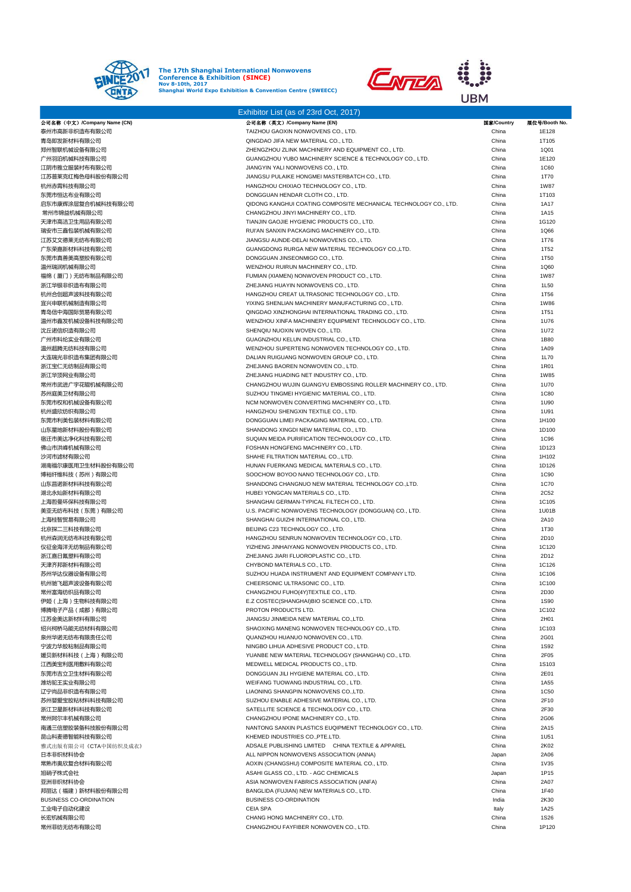



|                                   | Exhibitor List (as of 23rd Oct, 2017)                                                  |                |                     |
|-----------------------------------|----------------------------------------------------------------------------------------|----------------|---------------------|
| 公司名称(中文)/Company Name (CN)        | 公司名称 (英文) /Company Name (EN)                                                           | 国家/Country     | 展位号/Booth No.       |
| 泰州市高新非织造布有限公司                     | TAIZHOU GAOXIN NONWOVENS CO., LTD.                                                     | China          | 1E128               |
| 青岛即发新材料有限公司                       | QINGDAO JIFA NEW MATERIAL CO., LTD.                                                    | China          | 1T105               |
| 郑州智联机械设备有限公司                      | ZHENGZHOU ZLINK MACHINERY AND EQUIPMENT CO., LTD.                                      | China          | 1Q01                |
| 广州羽泊机械科技有限公司                      | GUANGZHOU YUBO MACHINERY SCIENCE & TECHNOLOGY CO., LTD.                                | China          | 1E120               |
| 江阴市雅立服装衬布有限公司<br>江苏普莱克红梅色母料股份有限公司 | JIANGYIN YALI NONWOVENS CO., LTD.                                                      | China          | <b>1C60</b>         |
| 杭州赤霄科技有限公司                        | JIANGSU PULAIKE HONGMEI MASTERBATCH CO., LTD.<br>HANGZHOU CHIXIAO TECHNOLOGY CO., LTD. | China<br>China | 1T70<br><b>1W87</b> |
| 东莞市恒达布业有限公司                       | DONGGUAN HENDAR CLOTH CO., LTD.                                                        | China          | 1T103               |
| 启东市康辉涂层复合机械科技有限公司                 | QIDONG KANGHUI COATING COMPOSITE MECHANICAL TECHNOLOGY CO., LTD.                       | China          | <b>1A17</b>         |
| 常州市锦益机械有限公司                       | CHANGZHOU JINYI MACHINERY CO., LTD.                                                    | China          | 1A15                |
| 天津市高洁卫生用品有限公司                     | TIANJIN GAOJIE HYGIENIC PRODUCTS CO., LTD.                                             | China          | 1G120               |
| 瑞安市三鑫包装机械有限公司                     | RUI'AN SANXIN PACKAGING MACHINERY CO., LTD.                                            | China          | 1Q66                |
| 江苏艾文德莱无纺布有限公司                     | JIANGSU AUNDE-DELAI NONWOVENS CO., LTD.                                                | China          | 1T76                |
| 广东荣嘉新材料科技有限公司                     | GUANGDONG RURGA NEW MATERIAL TECHNOLOGY CO.,LTD.                                       | China          | 1T52                |
| 东莞市真善美高塑胶有限公司                     | DONGGUAN JINSEONMIGO CO., LTD.                                                         | China          | 1T50                |
| 温州瑞润机械有限公司                        | WENZHOU RUIRUN MACHINERY CO., LTD.                                                     | China          | 1Q60                |
| 福绵(厦门)无纺布制品有限公司                   | FUMIAN (XIAMEN) NONWOVEN PRODUCT CO., LTD.                                             | China          | <b>1W87</b>         |
| 浙江华银非织造布有限公司                      | ZHEJIANG HUAYIN NONWOVENS CO., LTD.                                                    | China          | 1L50                |
| 杭州合创超声波科技有限公司                     | HANGZHOU CREAT ULTRASONIC TECHNOLOGY CO., LTD.                                         | China          | 1T56                |
| 宜兴申联机械制造有限公司                      | YIXING SHENLIAN MACHINERY MANUFACTURING CO., LTD.                                      | China          | <b>1W86</b>         |
| 青岛信中海国际贸易有限公司                     | QINGDAO XINZHONGHAI INTERNATIONAL TRADING CO., LTD.                                    | China          | 1T51                |
| 温州市鑫发机械设备科技有限公司                   | WENZHOU XINFA MACHINERY EQUIPMENT TECHNOLOGY CO., LTD.                                 | China          | 1U76                |
| 沈丘诺信织造有限公司                        | SHENQIU NUOXIN WOVEN CO., LTD.                                                         | China          | 1U72                |
| 广州市科纶实业有限公司                       | GUAGNZHOU KELUN INDUSTRIAL CO., LTD.                                                   | China          | 1B80                |
| 温州超腾无纺科技有限公司                      | WENZHOU SUPERTENG NONWOVEN TECHNOLOGY CO., LTD.                                        | China          | 1A09                |
| 大连瑞光非织造布集团有限公司                    | DALIAN RUIGUANG NONWOVEN GROUP CO., LTD.                                               | China          | 1L70                |
| 浙江宝仁无纺制品有限公司                      | ZHEJIANG BAOREN NONWOVEN CO., LTD.                                                     | China          | 1R01                |
| 浙江华顶网业有限公司                        | ZHEJIANG HUADING NET INDUSTRY CO., LTD.                                                | China          | <b>1W85</b>         |
| 常州市武进广宇花辊机械有限公司                   | CHANGZHOU WUJIN GUANGYU EMBOSSING ROLLER MACHINERY CO., LTD.                           | China          | 1U70                |
| 苏州庭美卫材有限公司                        | SUZHOU TINGMEI HYGIENIC MATERIAL CO., LTD.                                             | China          | <b>1C80</b>         |
| 东莞市权和机械设备有限公司<br>杭州盛欣纺织有限公司       | NCM NONWOVEN CONVERTING MACHINERY CO., LTD.<br>HANGZHOU SHENGXIN TEXTILE CO., LTD.     | China          | 1U90                |
| 东莞市利美包装材料有限公司                     | DONGGUAN LIMEI PACKAGING MATERIAL CO., LTD.                                            | China<br>China | 1U91<br>1H100       |
| 山东星地新材料股份有限公司                     | SHANDONG XINGDI NEW MATERIAL CO., LTD.                                                 | China          | 1D100               |
| 宿迁市美达净化科技有限公司                     | SUQIAN MEIDA PURIFICATION TECHNOLOGY CO., LTD.                                         | China          | 1C96                |
| 佛山市洪峰机械有限公司                       | FOSHAN HONGFENG MACHINERY CO., LTD.                                                    | China          | 1D123               |
| 沙河市滤材有限公司                         | SHAHE FILTRATION MATERIAL CO., LTD.                                                    | China          | 1H102               |
| 湖南福尔康医用卫生材料股份有限公司                 | HUNAN FUERKANG MEDICAL MATERIALS CO., LTD.                                             | China          | 1D126               |
| 博裕纤维科技(苏州)有限公司                    | SOOCHOW BOYOO NANO TECHNOLOGY CO., LTD.                                                | China          | 1C90                |
| 山东昌诺新材料科技有限公司                     | SHANDONG CHANGNUO NEW MATERIAL TECHNOLOGY CO.,LTD.                                     | China          | 1C70                |
| 湖北永灿新材料有限公司                       | HUBEI YONGCAN MATERIALS CO., LTD.                                                      | China          | 2C52                |
| 上海哲曼环保科技有限公司                      | SHANGHAI GERMAN-TYPICAL FILTECH CO., LTD.                                              | China          | 1C105               |
| 美亚无纺布科技(东莞)有限公司                   | U.S. PACIFIC NONWOVENS TECHNOLOGY (DONGGUAN) CO., LTD.                                 | China          | 1U01B               |
| 上海桂智贸易有限公司                        | SHANGHAI GUIZHI INTERNATIONAL CO., LTD.                                                | China          | 2A10                |
| 北京探二三科技有限公司                       | BEIJING C23 TECHNOLOGY CO., LTD.                                                       | China          | 1T30                |
| 杭州森润无纺布科技有限公司                     | HANGZHOU SENRUN NONWOVEN TECHNOLOGY CO., LTD.                                          | China          | 2D10                |
| 仪征金海洋无纺制品有限公司                     | YIZHENG JINHAIYANG NONWOVEN PRODUCTS CO., LTD.                                         | China          | 1C120               |
| 浙江嘉日氟塑料有限公司                       | ZHEJIANG JIARI FLUOROPLASTIC CO., LTD.                                                 | China          | 2D12                |
| 天津齐邦新材料有限公司                       | CHYBOND MATERIALS CO., LTD.                                                            | China          | 1C126               |
| 苏州华达仪器设备有限公司                      | SUZHOU HUADA INSTRUMENT AND EQUIPMENT COMPANY LTD.                                     | China          | 1C106               |
| 杭州驰飞超声波设备有限公司                     | CHEERSONIC ULTRASONIC CO., LTD.                                                        | China          | 1C100               |
| 常州富海纺织品有限公司                       | CHANGZHOU FUHO(4Y)TEXTILE CO., LTD.                                                    | China          | 2D30                |
| 伊姫(上海)生物科技有限公司                    | E.Z COSTEC(SHANGHAI)BIO SCIENCE CO., LTD.                                              | China          | 1S90                |
| 博腾电子产品(成都)有限公司                    | PROTON PRODUCTS LTD.                                                                   | China          | 1C102               |
| 江苏金美达新材料有限公司<br>绍兴柯桥马能无纺材料有限公司    | JIANGSU JINMEIDA NEW MATERIAL CO.,LTD.                                                 | China          | 2H01                |
| 泉州华诺无纺布有限责任公司                     | SHAOXING MANENG NONWOVEN TECHNOLOGY CO., LTD.<br>QUANZHOU HUANUO NONWOVEN CO., LTD.    | China<br>China | 1C103<br>2G01       |
| 宁波力华胶粘制品有限公司                      | NINGBO LIHUA ADHESIVE PRODUCT CO., LTD.                                                | China          | 1S92                |
| 媛贝新材料科技(上海)有限公司                   | YUANBE NEW MATERIAL TECHNOLOGY (SHANGHAI) CO., LTD.                                    | China          | 2F05                |
| 江西美宝利医用敷料有限公司                     | MEDWELL MEDICAL PRODUCTS CO., LTD.                                                     | China          | <b>1S103</b>        |
| 东莞市吉立卫生材料有限公司                     | DONGGUAN JILI HYGIENE MATERIAL CO., LTD.                                               | China          | 2E01                |
| 潍坊驼王实业有限公司                        | WEIFANG TUOWANG INDUSTRIAL CO., LTD.                                                   | China          | 1A55                |
| 辽宁尚品非织造布有限公司                      | LIAONING SHANGPIN NONWOVENS CO., LTD.                                                  | China          | 1C50                |
| 苏州婴爱宝胶粘材料科技有限公司                   | SUZHOU ENABLE ADHESIVE MATERIAL CO., LTD.                                              | China          | 2F10                |
| 浙江卫星新材料科技有限公司                     | SATELLITE SCIENCE & TECHNOLOGY CO., LTD.                                               | China          | 2F30                |
| 常州阿尔丰机械有限公司                       | CHANGZHOU IPONE MACHINERY CO., LTD.                                                    | China          | 2G06                |
| 南通三信塑胶装备科技股份有限公司                  | NANTONG SANXIN PLASTICS EUQIPMENT TECHNOLOGY CO., LTD.                                 | China          | 2A15                |
| 昆山科麦德智能科技有限公司                     | KHEMED INDUSTRIES CO., PTE.LTD.                                                        | China          | 1U51                |
| 雅式出版有限公司《CTA中国纺织及成衣》              | ADSALE PUBLISHING LIMITED CHINA TEXTILE & APPAREL                                      | China          | 2K02                |
| 日本非织材料协会                          | ALL NIPPON NONWOVENS ASSOCIATION (ANNA)                                                | Japan          | 2A06                |
| 常熟市奥欣复合材料有限公司                     | AOXIN (CHANGSHU) COMPOSITE MATERIAL CO., LTD.                                          | China          | 1V35                |
| 旭硝子株式会社                           | ASAHI GLASS CO., LTD. - AGC CHEMICALS                                                  | Japan          | 1P15                |
| 亚洲非织材料协会                          | ASIA NONWOVEN FABRICS ASSOCIATION (ANFA)                                               | China          | 2A07                |
| 邦丽达(福建)新材料股份有限公司                  | BANGLIDA (FUJIAN) NEW MATERIALS CO., LTD.                                              | China          | 1F40                |
| <b>BUSINESS CO-ORDINATION</b>     | <b>BUSINESS CO-ORDINATION</b>                                                          | India          | 2K30                |
| 工业电子自动化建设                         | <b>CEIA SPA</b>                                                                        | Italy          | 1A25                |
| 长宏机械有限公司                          | CHANG HONG MACHINERY CO., LTD.                                                         | China          | <b>1S26</b>         |
| 常州菲纺无纺布有限公司                       | CHANGZHOU FAYFIBER NONWOVEN CO., LTD.                                                  | China          | 1P120               |